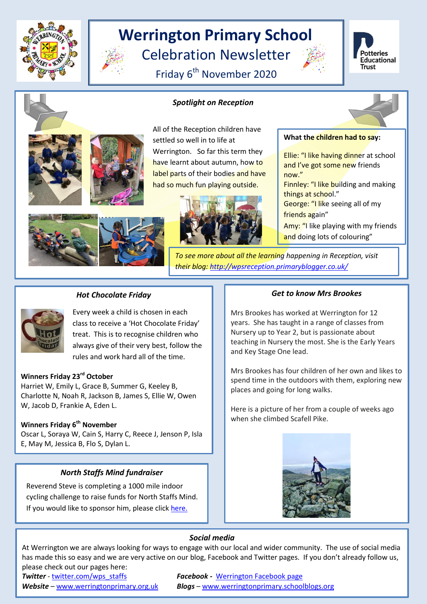

# **Werrington Primary School**

Celebration Newsletter

Friday 6<sup>th</sup> November 2020

*Spotlight on Reception*







All of the Reception children have settled so well in to life at Werrington. So far this term they have learnt about autumn, how to label parts of their bodies and have had so much fun playing outside.





things at school."

now."

**What the children had to say:**

Ellie: "I like having dinner at school and I've got some new friends

Finnley: "I like building and making

*To see more about all the learning happening in Reception, visit their blog: <http://wpsreception.primaryblogger.co.uk/>* 

# *Hot Chocolate Friday*

Every week a child is chosen in each class to receive a 'Hot Chocolate Friday' treat. This is to recognise children who always give of their very best, follow the rules and work hard all of the time.

## **Winners Friday 23rd October**

Harriet W, Emily L, Grace B, Summer G, Keeley B, Charlotte N, Noah R, Jackson B, James S, Ellie W, Owen W, Jacob D, Frankie A, Eden L.

## **Winners Friday 6th November**

Oscar L, Soraya W, Cain S, Harry C, Reece J, Jenson P, Isla E, May M, Jessica B, Flo S, Dylan L.

# *North Staffs Mind fundraiser*

Reverend Steve is completing a 1000 mile indoor cycling challenge to raise funds for North Staffs Mind. If you would like to sponsor him, please click [here.](https://www.justgiving.com/fundraising/Stephen-Parker39?utm_campaign=lc_frp_share_transaction_fundraiser_page_launched&utm_content=c4634e8f-0848-4fcf-87b8-d40a0e07f978&utm_medium=email&utm_source=postoffice&utm_term=1604429121183)

#### *Get to know Mrs Brookes*

Mrs Brookes has worked at Werrington for 12 years. She has taught in a range of classes from Nursery up to Year 2, but is passionate about teaching in Nursery the most. She is the Early Years and Key Stage One lead.

Mrs Brookes has four children of her own and likes to spend time in the outdoors with them, exploring new places and going for long walks.

Here is a picture of her from a couple of weeks ago when she climbed Scafell Pike.



### *Social media*

At Werrington we are always looking for ways to engage with our local and wider community. The use of social media has made this so easy and we are very active on our blog, Facebook and Twitter pages. If you don't already follow us, please check out our pages here:

**Twitter** - [twitter.com/wps\\_staffs](http://twitter.com/wps_staffs) **Facebook - Werrington Facebook page** *Website* – [www.werringtonprimary.org.uk](http://www.werringtonprimary.org.uk/) *Blogs* – [www.werringtonprimary.schoolblogs.org](http://www.werringtonprimary.schoolblogs.org/)